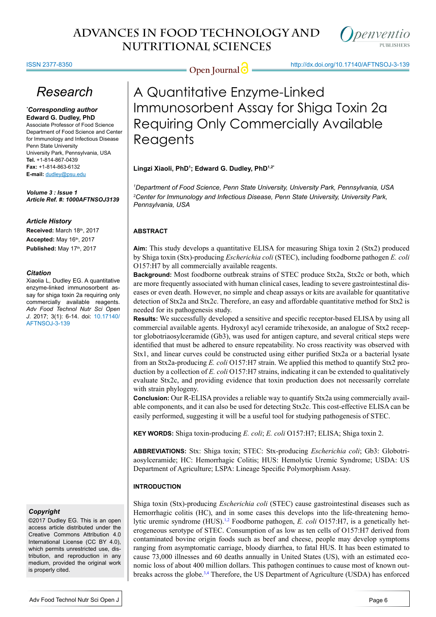denventio

#### ISSN 2377-8350

**Open Journal <b>C** = http://dx.doi.org/10.17140/AFTNSOJ-3-139

## *Research*

#### *\* Corresponding author* **Edward G. Dudley, PhD**

Associate Professor of Food Science Department of Food Science and Center for Immunology and Infectious Disease Penn State University University Park, Pennsylvania, USA **Tel.** +1-814-867-0439 **Fax:** +1-814-863-6132 **E-mail:** dudley@psu.edu

*Volume 3 : Issue 1 Article Ref. #: 1000AFTNSOJ3139*

#### *Article History*

**Received:** March 18th, 2017 **Accepted:** May 16th, 2017 **Published:** May 17<sup>th</sup>, 2017

#### *Citation*

Xiaolia L, Dudley EG. A quantitative enzyme-linked immunosorbent assay for shiga toxin 2a requiring only commercially available reagents. *Adv Food Technol Nutr Sci Open J*. 2017; 3(1): 6-14. doi: [10.17140/](http://dx.doi.org/10.17140/AFTNSOJ-3-139) [AFTNSOJ-3-139](http://dx.doi.org/10.17140/AFTNSOJ-3-139)

#### *Copyright*

©2017 Dudley EG. This is an open access article distributed under the Creative Commons Attribution 4.0 International License (CC BY 4.0), which permits unrestricted use, distribution, and reproduction in any medium, provided the original work is properly cited.

# A Quantitative Enzyme-Linked Immunosorbent Assay for Shiga Toxin 2a Requiring Only Commercially Available Reagents

### **Lingzi Xiaoli, PhD1 ; Edward G. Dudley, PhD1,2\***

*1 Department of Food Science, Penn State University, University Park, Pennsylvania, USA 2 Center for Immunology and Infectious Disease, Penn State University, University Park, Pennsylvania, USA*

## **ABSTRACT**

**Aim:** This study develops a quantitative ELISA for measuring Shiga toxin 2 (Stx2) produced by Shiga toxin (Stx)-producing *Escherichia coli* (STEC), including foodborne pathogen *E. coli* O157:H7 by all commercially available reagents.

**Background:** Most foodborne outbreak strains of STEC produce Stx2a, Stx2c or both, which are more frequently associated with human clinical cases, leading to severe gastrointestinal diseases or even death. However, no simple and cheap assays or kits are available for quantitative detection of Stx2a and Stx2c. Therefore, an easy and affordable quantitative method for Stx2 is needed for its pathogenesis study.

**Results:** We successfully developed a sensitive and specific receptor-based ELISA by using all commercial available agents. Hydroxyl acyl ceramide trihexoside, an analogue of Stx2 receptor globotriaosylceramide (Gb3), was used for antigen capture, and several critical steps were identified that must be adhered to ensure repeatability. No cross reactivity was observed with Stx1, and linear curves could be constructed using either purified Stx2a or a bacterial lysate from an Stx2a-producing *E. coli* O157:H7 strain. We applied this method to quantify Stx2 production by a collection of *E. coli* O157:H7 strains, indicating it can be extended to qualitatively evaluate Stx2c, and providing evidence that toxin production does not necessarily correlate with strain phylogeny.

**Conclusion:** Our R-ELISA provides a reliable way to quantify Stx2a using commercially available components, and it can also be used for detecting Stx2c. This cost-effective ELISA can be easily performed, suggesting it will be a useful tool for studying pathogenesis of STEC.

**KEY WORDS:** Shiga toxin-producing *E. coli*; *E. coli* O157:H7; ELISA; Shiga toxin 2.

**ABBREVIATIONS:** Stx: Shiga toxin; STEC: Stx-producing *Escherichia coli*; Gb3: Globotriaosylceramide; HC: Hemorrhagic Colitis; HUS: Hemolytic Uremic Syndrome; USDA: US Department of Agriculture; LSPA: Lineage Specific Polymorphism Assay.

## **INTRODUCTION**

Shiga toxin (Stx)-producing *Escherichia coli* (STEC) cause gastrointestinal diseases such as Hemorrhagic colitis (HC), and in some cases this develops into the life-threatening hemolytic uremic syndrome (HUS).<sup>1,2</sup> Foodborne pathogen, *E. coli* O157:H7, is a genetically heterogeneous serotype of STEC. Consumption of as low as ten cells of O157:H7 derived from contaminated bovine origin foods such as beef and cheese, people may develop symptoms ranging from asymptomatic carriage, bloody diarrhea, to fatal HUS. It has been estimated to cause 73,000 illnesses and 60 deaths annually in United States (US), with an estimated economic loss of about 400 million dollars. This pathogen continues to cause most of known outbreaks across the globe.<sup>3,4</sup> Therefore, the US Department of Agriculture (USDA) has enforced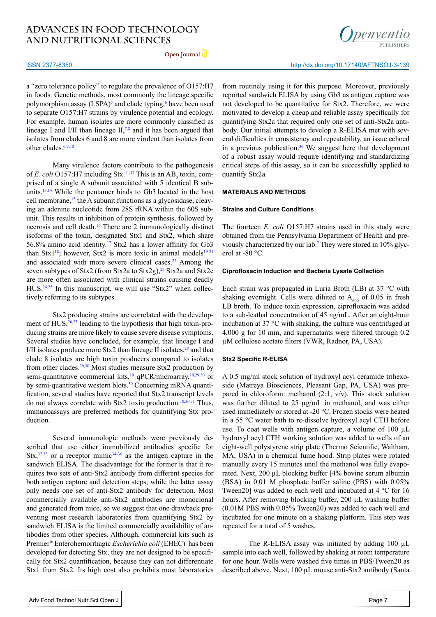**Open Journal**

#### ISSN 2377-8350

a "zero tolerance policy" to regulate the prevalence of O157:H7 in foods. Genetic methods, most commonly the lineage specific polymorphism assay  $(LSPA)^5$  and clade typing,<sup>6</sup> have been used to separate O157:H7 strains by virulence potential and ecology. For example, human isolates are more commonly classified as lineage I and I/II than lineage  $II^{7,8}$  and it has been argued that isolates from clades 6 and 8 are more virulent than isolates from other clades.<sup>[6,9,10](#page-6-2)</sup>

Many virulence factors contribute to the pathogenesis of *E. coli* O157:H7 including Stx.<sup>11,12</sup> This is an  $AB<sub>5</sub>$  toxin, comprised of a single A subunit associated with 5 identical B subunits.[13,14](#page-6-5) While the pentamer binds to Gb3 located in the host cell membrane, $15$  the A subunit functions as a glycosidase, cleaving an adenine nucleotide from 28S rRNA within the 60S subunit. This results in inhibition of protein synthesis, followed by necrosis and cell death.[16](#page-6-7) There are 2 immunologically distinct isoforms of the toxin, designated Stx1 and Stx2, which share 56.8% amino acid identity.[17](#page-6-8) Stx2 has a lower affinity for Gb3 than Stx1<sup>18</sup>; however, Stx2 is more toxic in animal models<sup>19-21</sup> and associated with more severe clinical cases.<sup>22</sup> Among the seven subtypes of Stx2 (from Stx2a to Stx2g),<sup>23</sup> Stx2a and Stx2c are more often associated with clinical strains causing deadly  $HUS^{24,25}$  In this manuscript, we will use "Stx2" when collectively referring to its subtypes.

Stx2 producing strains are correlated with the development of  $HUS<sub>1</sub><sup>26,27</sup>$  leading to the hypothesis that high toxin-producing strains are more likely to cause severe disease symptoms. Several studies have concluded, for example, that lineage I and I/II isolates produce more Stx2 than lineage II isolates, $28$  and that clade 8 isolates are high toxin producers compared to isolates from other clades.[29,30](#page-7-1) Most studies measure Stx2 production by semi-quantitative commercial kits,<sup>10</sup> qPCR/microarray,<sup>10,29,30</sup> or by semi-quantitative western blots.<sup>30</sup> Concerning mRNA quantification, several studies have reported that Stx2 transcript levels do not always correlate with Stx2 toxin production.[10,](#page-6-15)[30,31](#page-7-2) Thus, immunoassays are preferred methods for quantifying Stx production.

Several immunologic methods were previously described that use either immobilized antibodies specific for  $\text{Stx}, \frac{32,33}{3}$  or a receptor mimic<sup>34-36</sup> as the antigen capture in the sandwich ELISA. The disadvantage for the former is that it requires two sets of anti-Stx2 antibody from different species for both antigen capture and detection steps, while the latter assay only needs one set of anti-Stx2 antibody for detection. Most commercially available anti-Stx2 antibodies are monoclonal and generated from mice, so we suggest that one drawback preventing most research laboratories from quantifying Stx2 by sandwich ELISA is the limited commercially availability of antibodies from other species. Although, commercial kits such as Premier® Enterohemorrhagic *Escherichia coli* (EHEC) has been developed for detecting Stx, they are not designed to be specifically for Stx2 quantification, because they can not differentiate Stx1 from Stx2. Its high cost also prohibits most laboratories

from routinely using it for this purpose. Moreover, previously reported sandwich ELISA by using Gb3 as antigen capture was not developed to be quantitative for Stx2. Therefore, we were motivated to develop a cheap and reliable assay specifically for quantifying Stx2a that required only one set of anti-Stx2a antibody. Our initial attempts to develop a R-ELISA met with several difficulties in consistency and repeatability, an issue echoed in a previous publication. $36$  We suggest here that development of a robust assay would require identifying and standardizing critical steps of this assay, so it can be successfully applied to quantify Stx2a.

#### **MATERIALS AND METHODS**

#### **Strains and Culture Conditions**

The fourteen *E. coli* O157:H7 strains used in this study were obtained from the Pennsylvania Department of Health and previously characterized by our lab.[7](#page-6-3) They were stored in 10% glycerol at -80 °C.

#### **Ciprofloxacin Induction and Bacteria Lysate Collection**

Each strain was propagated in Luria Broth (LB) at 37 °C with shaking overnight. Cells were diluted to  $A_{600}$  of 0.05 in fresh LB broth. To induce toxin expression, ciprofloxacin was added to a sub-leathal concentration of 45 ng/mL. After an eight-hour incubation at 37 °C with shaking, the culture was centrifuged at 4,000 g for 10 min, and supernatants were filtered through 0.2 µM cellulose acetate filters (VWR, Radnor, PA, USA).

#### **Stx2 Specific R-ELISA**

A 0.5 mg/ml stock solution of hydroxyl acyl ceramide trihexoside (Matreya Biosciences, Pleasant Gap, PA, USA) was prepared in chloroform: methanol  $(2:1, v/v)$ . This stock solution was further diluted to 25 µg/mL in methanol, and was either used immediately or stored at -20 °C. Frozen stocks were heated in a 55 °C water bath to re-dissolve hydroxyl acyl CTH before use. To coat wells with antigen capture, a volume of 100  $\mu$ L hydroxyl acyl CTH working solution was added to wells of an eight-well polystyrene strip plate (Thermo Scientific, Waltham, MA, USA) in a chemical fume hood. Strip plates were rotated manually every 15 minutes until the methanol was fully evaporated. Next, 200 µL blocking buffer [4% bovine serum albumin (BSA) in 0.01 M phosphate buffer saline (PBS) with 0.05% Tween20] was added to each well and incubated at 4 °C for 16 hours. After removing blocking buffer, 200 µL washing buffer (0.01M PBS with 0.05% Tween20) was added to each well and incubated for one minute on a shaking platform. This step was repeated for a total of 5 washes.

The R-ELISA assay was initiated by adding 100 µL sample into each well, followed by shaking at room temperature for one hour. Wells were washed five times in PBS/Tween20 as described above. Next, 100 µL mouse anti-Stx2 antibody (Santa

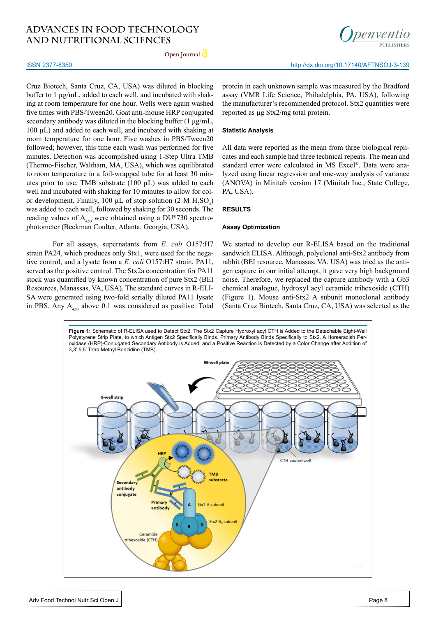**Open Journal**

#### ISSN 2377-8350

Cruz Biotech, Santa Cruz, CA, USA) was diluted in blocking buffer to 1  $\mu$ g/mL, added to each well, and incubated with shaking at room temperature for one hour. Wells were again washed five times with PBS/Tween20. Goat anti-mouse HRP conjugated secondary antibody was diluted in the blocking buffer (1 μg/mL, 100 µL) and added to each well, and incubated with shaking at room temperature for one hour. Five washes in PBS/Tween20 followed; however, this time each wash was performed for five minutes. Detection was accomplished using 1-Step Ultra TMB (Thermo-Fischer, Waltham, MA, USA), which was equilibrated to room temperature in a foil-wrapped tube for at least 30 minutes prior to use. TMB substrate (100 µL) was added to each well and incubated with shaking for 10 minutes to allow for color development. Finally, 100  $\mu$ L of stop solution (2 M H<sub>2</sub>SO<sub>4</sub>) was added to each well, followed by shaking for 30 seconds. The reading values of  $A_{450}$  were obtained using a DU®730 spectrophotometer (Beckman Coulter, Atlanta, Georgia, USA).

For all assays, supernatants from *E. coli* O157:H7 strain PA24, which produces only Stx1, were used for the negative control, and a lysate from a *E. coli* O157:H7 strain, PA11, served as the positive control. The Stx2a concentration for PA11 stock was quantified by known concentration of pure Stx2 (BEI Resources, Manassas, VA, USA). The standard curves in R-ELI-SA were generated using two-fold serially diluted PA11 lysate in PBS. Any  $A_{450}$  above 0.1 was considered as positive. Total

protein in each unknown sample was measured by the Bradford assay (VMR Life Science, Philadelphia, PA, USA), following the manufacturer's recommended protocol. Stx2 quantities were reported as µg Stx2/mg total protein.

#### **Statistic Analysis**

All data were reported as the mean from three biological replicates and each sample had three technical repeats. The mean and standard error were calculated in MS Excel®. Data were analyzed using linear regression and one-way analysis of variance (ANOVA) in Minitab version 17 (Minitab Inc., State College, PA, USA).

#### **RESULTS**

#### **Assay Optimization**

We started to develop our R-ELISA based on the traditional sandwich ELISA. Although, polyclonal anti-Stx2 antibody from rabbit (BEI resource, Manassas, VA, USA) was tried as the antigen capture in our initial attempt, it gave very high background noise. Therefore, we replaced the capture antibody with a Gb3 chemical analogue, hydroxyl acyl ceramide trihexoside (CTH) (Figure 1). Mouse anti-Stx2 A subunit monoclonal antibody (Santa Cruz Biotech, Santa Cruz, CA, USA) was selected as the



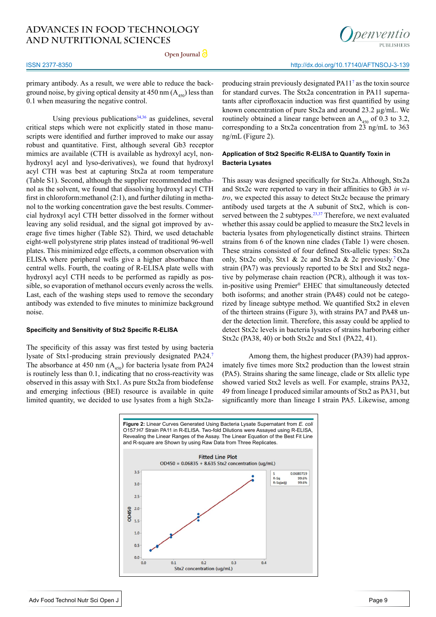**Open Journal**



primary antibody. As a result, we were able to reduce the background noise, by giving optical density at 450 nm  $(A_{450})$  less than 0.1 when measuring the negative control.

Using previous publications $34,36$  as guidelines, several critical steps which were not explicitly stated in those manuscripts were identified and further improved to make our assay robust and quantitative. First, although several Gb3 receptor mimics are available (CTH is available as hydroxyl acyl, nonhydroxyl acyl and lyso-derivatives), we found that hydroxyl acyl CTH was best at capturing Stx2a at room temperature (Table S1). Second, although the supplier recommended methanol as the solvent, we found that dissolving hydroxyl acyl CTH first in chloroform:methanol (2:1), and further diluting in methanol to the working concentration gave the best results. Commercial hydroxyl acyl CTH better dissolved in the former without leaving any solid residual, and the signal got improved by average five times higher (Table S2). Third, we used detachable eight-well polystyrene strip plates instead of traditional 96-well plates. This minimized edge effects, a common observation with ELISA where peripheral wells give a higher absorbance than central wells. Fourth, the coating of R-ELISA plate wells with hydroxyl acyl CTH needs to be performed as rapidly as possible, so evaporation of methanol occurs evenly across the wells. Last, each of the washing steps used to remove the secondary antibody was extended to five minutes to minimize background noise.

#### **Specificity and Sensitivity of Stx2 Specific R-ELISA**

The specificity of this assay was first tested by using bacteria lysate of Stx1-producing strain previously designated PA24.[7](#page-6-3) The absorbance at 450 nm  $(A<sub>450</sub>)$  for bacteria lysate from PA24 is routinely less than 0.1, indicating that no cross-reactivity was observed in this assay with Stx1. As pure Stx2a from biodefense and emerging infectious (BEI) resource is available in quite limited quantity, we decided to use lysates from a high Stx2aproducing strain previously designated PA1[17](#page-6-3) as the toxin source for standard curves. The Stx2a concentration in PA11 supernatants after ciprofloxacin induction was first quantified by using known concentration of pure Stx2a and around 23.2 µg/mL. We routinely obtained a linear range between an  $A_{450}$  of 0.3 to 3.2, corresponding to a Stx2a concentration from 23 ng/mL to 363 ng/mL (Figure 2).

#### **Application of Stx2 Specific R-ELISA to Quantify Toxin in Bacteria Lysates**

This assay was designed specifically for Stx2a. Although, Stx2a and Stx2c were reported to vary in their affinities to Gb3 *in vitro*, we expected this assay to detect Stx2c because the primary antibody used targets at the A subunit of Stx2, which is conserved between the 2 subtypes.<sup>23,37</sup> Therefore, we next evaluated whether this assay could be applied to measure the Stx2 levels in bacteria lysates from phylogenetically distinct strains. Thirteen strains from 6 of the known nine clades (Table 1) were chosen. These strains consisted of four defined Stx-allelic types: Stx2a only, Stx2c only, Stx1 & 2c and Stx2a & 2c previously[.7 O](#page-6-3)ne strain (PA7) was previously reported to be Stx1 and Stx2 negative by polymerase chain reaction (PCR), although it was toxin-positive using Premier® EHEC that simultaneously detected both isoforms; and another strain (PA48) could not be categorized by lineage subtype method. We quantified Stx2 in eleven of the thirteen strains (Figure 3), with strains PA7 and PA48 under the detection limit. Therefore, this assay could be applied to detect Stx2c levels in bacteria lysates of strains harboring either Stx2c (PA38, 40) or both Stx2c and Stx1 (PA22, 41).

Among them, the highest producer (PA39) had approximately five times more Stx2 production than the lowest strain (PA5). Strains sharing the same lineage, clade or Stx allelic type showed varied Stx2 levels as well. For example, strains PA32, 49 from lineage I produced similar amounts of Stx2 as PA31, but significantly more than lineage I strain PA5. Likewise, among



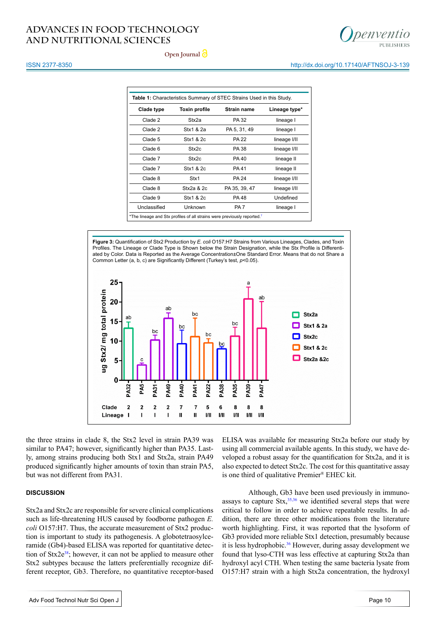

http://dx.doi.org/10.17140/AFTNSOJ-3-139

**Open Journal**

#### ISSN 2377-8350

| Clade type   | <b>Toxin profile</b> | <b>Strain name</b> | Lineage type* |
|--------------|----------------------|--------------------|---------------|
| Clade 2      | Stx2a                | PA 32              | lineage I     |
| Clade 2      | Stx1 & 2a            | PA 5, 31, 49       | lineage I     |
| Clade 5      | Stx1 & 2c            | <b>PA 22</b>       | lineage I/II  |
| Clade 6      | Stx2c                | PA 38              | lineage I/II  |
| Clade 7      | Stx2c                | PA 40              | lineage II    |
| Clade 7      | Stx1 & 2c            | PA 41              | lineage II    |
| Clade 8      | Stx1                 | <b>PA 24</b>       | lineage I/II  |
| Clade 8      | $Stx2a$ & $2c$       | PA 35, 39, 47      | lineage I/II  |
| Clade 9      | Stx1 & 2c            | PA 48              | Undefined     |
| Unclassified | <b>Unknown</b>       | PA <sub>7</sub>    | lineage I     |

\*The lineage and Stx profiles of all strains were previously reported.[7](#page-6-3)

**Figure 3:** Quantification of Stx2 Production by *E. coli* O157:H7 Strains from Various Lineages, Clades, and Toxin Profiles. The Lineage or Clade Type is Shown below the Strain Designation, while the Stx Profile is Differentiated by Color. Data is Reported as the Average Concentration±One Standard Error. Means that do not Share a Common Letter (a, b, c) are Significantly Different (Turkey's test, *p*<0.05).

![](_page_4_Figure_7.jpeg)

the three strains in clade 8, the Stx2 level in strain PA39 was similar to PA47; however, significantly higher than PA35. Lastly, among strains producing both Stx1 and Stx2a, strain PA49 produced significantly higher amounts of toxin than strain PA5, but was not different from PA31.

#### **DISCUSSION**

Stx2a and Stx2c are responsible for severe clinical complications such as life-threatening HUS caused by foodborne pathogen *E. coli* O157:H7. Thus, the accurate measurement of Stx2 production is important to study its pathogenesis. A globotetraosylceramide (Gb4)-based ELISA was reported for quantitative detection of Stx2e<sup>38</sup>; however, it can not be applied to measure other Stx2 subtypes because the latters preferentially recognize different receptor, Gb3. Therefore, no quantitative receptor-based ELISA was available for measuring Stx2a before our study by using all commercial available agents. In this study, we have developed a robust assay for the quantification for Stx2a, and it is also expected to detect Stx2c. The cost for this quantitative assay is one third of qualitative Premier® EHEC kit.

Although, Gb3 have been used previously in immunoassays to capture  $\text{Stx},^{35,36}$  $\text{Stx},^{35,36}$  $\text{Stx},^{35,36}$  we identified several steps that were critical to follow in order to achieve repeatable results. In addition, there are three other modifications from the literature worth highlighting. First, it was reported that the lysoform of Gb3 provided more reliable Stx1 detection, presumably because it is less hydrophobic.<sup>36</sup> However, during assay development we found that lyso-CTH was less effective at capturing Stx2a than hydroxyl acyl CTH. When testing the same bacteria lysate from O157:H7 strain with a high Stx2a concentration, the hydroxyl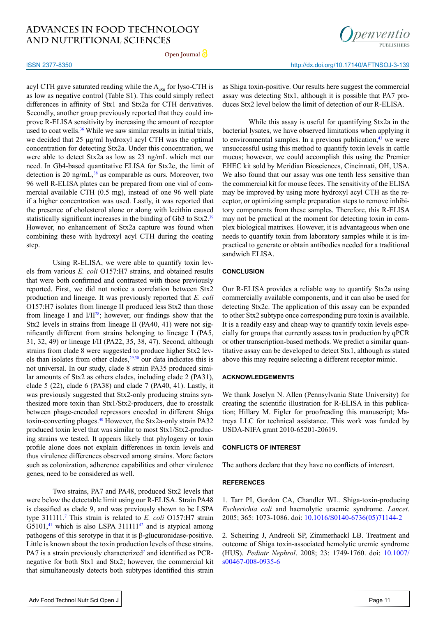**Open Journal**

#### ISSN 2377-8350

acyl CTH gave saturated reading while the  $A_{450}$  for lyso-CTH is as low as negative control (Table S1). This could simply reflect differences in affinity of Stx1 and Stx2a for CTH derivatives. Secondly, another group previously reported that they could improve R-ELISA sensitivity by increasing the amount of receptor used to coat wells.<sup>36</sup> While we saw similar results in initial trials, we decided that 25  $\mu$ g/ml hydroxyl acyl CTH was the optimal concentration for detecting Stx2a. Under this concentration, we were able to detect Stx2a as low as 23 ng/mL which met our need. In Gb4-based quantitative ELISA for Stx2e, the limit of detection is 20 ng/mL $^{38}$  as comparable as ours. Moreover, two 96 well R-ELISA plates can be prepared from one vial of commercial available CTH (0.5 mg), instead of one 96 well plate if a higher concentration was used. Lastly, it was reported that the presence of cholesterol alone or along with lecithin caused statistically significant increases in the binding of Gb3 to Stx2.<sup>[39](#page-7-8)</sup> However, no enhancement of Stx2a capture was found when combining these with hydroxyl acyl CTH during the coating step.

Using R-ELISA, we were able to quantify toxin levels from various *E. coli* O157:H7 strains, and obtained results that were both confirmed and contrasted with those previously reported. First, we did not notice a correlation between Stx2 production and lineage. It was previously reported that *E. coli* O157:H7 isolates from lineage II produced less Stx2 than those from lineage I and  $I/II^{28}$ ; however, our findings show that the Stx2 levels in strains from lineage II (PA40, 41) were not significantly different from strains belonging to lineage I (PA5, 31, 32, 49) or lineage I/II (PA22, 35, 38, 47). Second, although strains from clade 8 were suggested to produce higher Stx2 levels than isolates from other clades, $29,30$  our data indicates this is not universal. In our study, clade 8 strain PA35 produced similar amounts of Stx2 as others clades, including clade 2 (PA31), clade 5 (22), clade 6 (PA38) and clade 7 (PA40, 41). Lastly, it was previously suggested that Stx2-only producing strains synthesized more toxin than Stx1/Stx2-producers, due to crosstalk between phage-encoded repressors encoded in different Shiga toxin-converting phages[.40](#page-7-9) However, the Stx2a-only strain PA32 produced toxin level that was similar to most Stx1/Stx2-producing strains we tested. It appears likely that phylogeny or toxin profile alone does not explain differences in toxin levels and thus virulence differences observed among strains. More factors such as colonization, adherence capabilities and other virulence genes, need to be considered as well.

Two strains, PA7 and PA48, produced Stx2 levels that were below the detectable limit using our R-ELISA. Strain PA48 is classified as clade 9, and was previously shown to be LSPA type 311111[.7](#page-6-3) This strain is related to *E. coli* O157:H7 strain  $G5101<sup>41</sup>$  which is also LSPA 311111<sup>42</sup> and is atypical among pathogens of this serotype in that it is β-glucuronidase-positive. Little is known about the toxin production levels of these strains. PA7 is a strain previously characterized<sup>7</sup> and identified as PCRnegative for both Stx1 and Stx2; however, the commercial kit that simultaneously detects both subtypes identified this strain

![](_page_5_Picture_7.jpeg)

penyentio

http://dx.doi.org/10.17140/AFTNSOJ-3-139

as Shiga toxin-positive. Our results here suggest the commercial assay was detecting Stx1, although it is possible that PA7 produces Stx2 level below the limit of detection of our R-ELISA.

While this assay is useful for quantifying Stx2a in the bacterial lysates, we have observed limitations when applying it to environmental samples. In a previous publication, $43$  we were unsuccessful using this method to quantify toxin levels in cattle mucus; however, we could accomplish this using the Premier EHEC kit sold by Meridian Biosciences, Cincinnati, OH, USA. We also found that our assay was one tenth less sensitive than the commercial kit for mouse feces. The sensitivity of the ELISA may be improved by using more hydroxyl acyl CTH as the receptor, or optimizing sample preparation steps to remove inhibitory components from these samples. Therefore, this R-ELISA may not be practical at the moment for detecting toxin in complex biological matrixes. However, it is advantageous when one needs to quantify toxin from laboratory samples while it is impractical to generate or obtain antibodies needed for a traditional sandwich ELISA.

#### **CONCLUSION**

Our R-ELISA provides a reliable way to quantify Stx2a using commercially available components, and it can also be used for detecting Stx2c. The application of this assay can be expanded to other Stx2 subtype once corresponding pure toxin is available. It is a readily easy and cheap way to quantify toxin levels especially for groups that currently assess toxin production by qPCR or other transcription-based methods. We predict a similar quantitative assay can be developed to detect Stx1, although as stated above this may require selecting a different receptor mimic.

#### **ACKNOWLEDGEMENTS**

We thank Joselyn N. Allen (Pennsylvania State University) for creating the scientific illustration for R-ELISA in this publication; Hillary M. Figler for proofreading this manuscript; Matreya LLC for technical assistance. This work was funded by USDA-NIFA grant 2010-65201-20619.

#### **CONFLICTS OF INTEREST**

The authors declare that they have no conflicts of interesrt.

#### **REFERENCES**

<span id="page-5-0"></span>1. Tarr PI, Gordon CA, Chandler WL. Shiga-toxin-producing *Escherichia coli* and haemolytic uraemic syndrome. *Lancet*. 2005; 365: 1073-1086. doi: [10.1016/S0140-6736\(05\)71144-2](%20http://dx.doi.org/10.1016/S0140-6736%2805%2971144-2)

2. Scheiring J, Andreoli SP, Zimmerhackl LB. Treatment and outcome of Shiga toxin-associated hemolytic uremic syndrome (HUS). *Pediatr Nephrol*. 2008; 23: 1749-1760. doi: [10.1007/](https://link.springer.com/article/10.1007/s00467-008-0935-6) [s00467-008-0935-6](https://link.springer.com/article/10.1007/s00467-008-0935-6)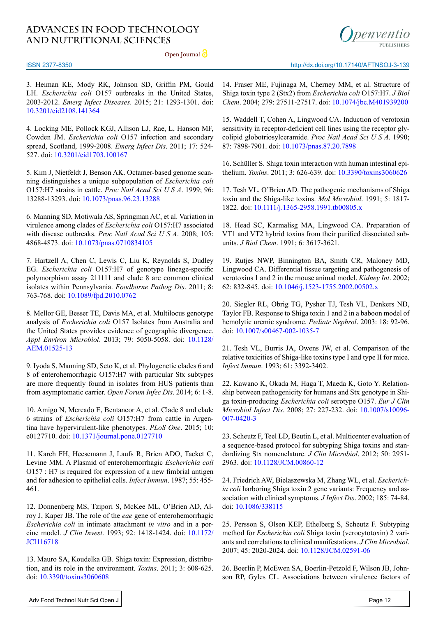**Open Journal**

![](_page_6_Picture_2.jpeg)

#### ISSN 2377-8350

<span id="page-6-0"></span>3. Heiman KE, Mody RK, Johnson SD, Griffin PM, Gould LH. *Escherichia coli* O157 outbreaks in the United States, 2003-2012. *Emerg Infect Diseases*. 2015; 21: 1293-1301. doi: [10.3201/eid2108.141364](http://pubmedcentralcanada.ca/pmcc/articles/PMC4517704/)

4. Locking ME, Pollock KGJ, Allison LJ, Rae, L, Hanson MF, Cowden JM. *Escherichia coli* O157 infection and secondary spread, Scotland, 1999-2008. *Emerg Infect Dis*. 2011; 17: 524- 527. doi: [10.3201/eid1703.100167](https://www.ncbi.nlm.nih.gov/pmc/articles/PMC3165990/)

<span id="page-6-1"></span>5. Kim J, Nietfeldt J, Benson AK. Octamer-based genome scanning distinguishes a unique subpopulation of *Escherichia coli* O157:H7 strains in cattle. *Proc Natl Acad Sci U S A*. 1999; 96: 13288-13293. doi: [10.1073/pnas.96.23.13288](http://www.pnas.org/content/96/23/13288.short)

<span id="page-6-2"></span>6. Manning SD, Motiwala AS, Springman AC, et al. Variation in virulence among clades of *Escherichia coli* O157:H7 associated with disease outbreaks. *Proc Natl Acad Sci U S A*. 2008; 105: 4868-4873. doi: [10.1073/pnas.0710834105](http://www.pnas.org/content/105/12/4868.short)

<span id="page-6-3"></span>7. Hartzell A, Chen C, Lewis C, Liu K, Reynolds S, Dudley EG. *Escherichia coli* O157:H7 of genotype lineage-specific polymorphism assay 211111 and clade 8 are common clinical isolates within Pennsylvania. *Foodborne Pathog Dis*. 2011; 8: 763-768. doi: [10.1089/fpd.2010.0762](http://online.liebertpub.com/doi/abs/10.1089/fpd.2010.0762)

8. Mellor GE, Besser TE, Davis MA, et al. Multilocus genotype analysis of *Escherichia coli* O157 Isolates from Australia and the United States provides evidence of geographic divergence. *Appl Environ Microbiol*. 2013; 79: 5050-5058. doi: [10.1128/](http://aem.asm.org/content/79/16/5050.short) [AEM.01525-13](http://aem.asm.org/content/79/16/5050.short)

9. Iyoda S, Manning SD, Seto K, et al. Phylogenetic clades 6 and 8 of enterohemorrhagic O157:H7 with particular Stx subtypes are more frequently found in isolates from HUS patients than from asymptomatic carrier. *Open Forum Infec Dis*. 2014; 6: 1-8.

<span id="page-6-15"></span>10. Amigo N, Mercado E, Bentancor A, et al. Clade 8 and clade 6 strains of *Escherichia coli* O157:H7 from cattle in Argentina have hypervirulent-like phenotypes. *PLoS One*. 2015; 10: e0127710. doi: [10.1371/journal.pone.0127710](https://doi.org/10.1371/journal.pone.0127710)

<span id="page-6-4"></span>11. Karch FH, Heesemann J, Laufs R, Brien ADO, Tacket C, Levine MM. A Plasmid of enterohemorrhagic *Escherichia coli*  O157 : H7 is required for expression of a new fimbrial antigen and for adhesion to epithelial cells. *Infect Immun*. 1987; 55: 455- 461.

12. Donnenberg MS, Tzipori S, McKee ML, O'Brien AD, Alroy J, Kaper JB. The role of the *eae* gene of enterohemorrhagic *Escherichia coli* in intimate attachment *in vitro* and in a porcine model. *J Clin Invest*. 1993; 92: 1418-1424. doi: [10.1172/](https://www.ncbi.nlm.nih.gov/pmc/articles/PMC288286/) [JCI116718](https://www.ncbi.nlm.nih.gov/pmc/articles/PMC288286/)

<span id="page-6-5"></span>13. Mauro SA, Koudelka GB. Shiga toxin: Expression, distribution, and its role in the environment. *Toxins*. 2011; 3: 608-625. doi: [10.3390/toxins3060608](http://www.mdpi.com/2072-6651/3/6/608)

http://dx.doi.org/10.17140/AFTNSOJ-3-139

14. Fraser ME, Fujinaga M, Cherney MM, et al. Structure of Shiga toxin type 2 (Stx2) from *Escherichia coli* O157:H7. *J Biol Chem*. 2004; 279: 27511-27517. doi: [10.1074/jbc.M401939200](http://www.jbc.org/content/279/26/27511.short)

<span id="page-6-6"></span>15. Waddell T, Cohen A, Lingwood CA. Induction of verotoxin sensitivity in receptor-deficient cell lines using the receptor glycolipid globotriosylceramide. *Proc Natl Acad Sci U S A*. 1990; 87: 7898-7901. doi: [10.1073/pnas.87.20.7898](http://www.pnas.org/content/87/20/7898.short)

<span id="page-6-7"></span>16. Schüller S. Shiga toxin interaction with human intestinal epithelium. *Toxins*. 2011; 3: 626-639. doi: [10.3390/toxins3060626](http://www.mdpi.com/2072-6651/3/6/626/htm)

<span id="page-6-8"></span>17. Tesh VL, O'Brien AD. The pathogenic mechanisms of Shiga toxin and the Shiga-like toxins. *Mol Microbiol*. 1991; 5: 1817- 1822. doi: [10.1111/j.1365-2958.1991.tb00805.x](http://onlinelibrary.wiley.com/doi/10.1111/j.1365-2958.1991.tb00805.x/full)

<span id="page-6-9"></span>18. Head SC, Karmalisg MA, Lingwood CA. Preparation of VT1 and VT2 hybrid toxins from their purified dissociated subunits. *J Biol Chem*. 1991; 6: 3617-3621.

<span id="page-6-10"></span>19. Rutjes NWP, Binnington BA, Smith CR, Maloney MD, Lingwood CA. Differential tissue targeting and pathogenesis of verotoxins 1 and 2 in the mouse animal model. *Kidney Int*. 2002; 62: 832-845. doi: [10.1046/j.1523-1755.2002.00502.x](%20http://dx.doi.org/10.1046/j.1523-1755.2002.00502.x)

20. Siegler RL, Obrig TG, Pysher TJ, Tesh VL, Denkers ND, Taylor FB. Response to Shiga toxin 1 and 2 in a baboon model of hemolytic uremic syndrome. *Pediatr Nephrol*. 2003: 18: 92-96. doi: [10.1007/s00467-002-1035-7](https://link.springer.com/article/10.1007/s00467-002-1035-7)

21. Tesh VL, Burris JA, Owens JW, et al. Comparison of the relative toxicities of Shiga-like toxins type I and type II for mice. *Infect Immun*. 1993; 61: 3392-3402.

<span id="page-6-11"></span>22. Kawano K, Okada M, Haga T, Maeda K, Goto Y. Relationship between pathogenicity for humans and Stx genotype in Shiga toxin-producing *Escherichia coli* serotype O157. *Eur J Clin Microbiol Infect Dis*. 2008; 27: 227-232. doi: [10.1007/s10096-](https://link.springer.com/article/10.1007/s10096-007-0420-3) [007-0420-3](https://link.springer.com/article/10.1007/s10096-007-0420-3)

<span id="page-6-12"></span>23. Scheutz F, Teel LD, Beutin L, et al. Multicenter evaluation of a sequence-based protocol for subtyping Shiga toxins and standardizing Stx nomenclature. *J Clin Microbiol*. 2012; 50: 2951- 2963. doi: [10.1128/JCM.00860-12](http://jcm.asm.org/content/50/9/2951.short)

<span id="page-6-13"></span>24. Friedrich AW, Bielaszewska M, Zhang WL, et al. *Escherichia coli* harboring Shiga toxin 2 gene variants: Frequency and association with clinical symptoms. *J Infect Dis*. 2002; 185: 74-84. doi: [10.1086/338115](https://doi.org/10.1086/338115) 

25. Persson S, Olsen KEP, Ethelberg S, Scheutz F. Subtyping method for *Escherichia coli* Shiga toxin (verocytotoxin) 2 variants and correlations to clinical manifestations. *J Clin Microbiol*. 2007; 45: 2020-2024. doi: [10.1128/JCM.02591-06](http://jcm.asm.org/content/45/6/2020.short)

<span id="page-6-14"></span>26. Boerlin P, McEwen SA, Boerlin-Petzold F, Wilson JB, Johnson RP, Gyles CL. Associations between virulence factors of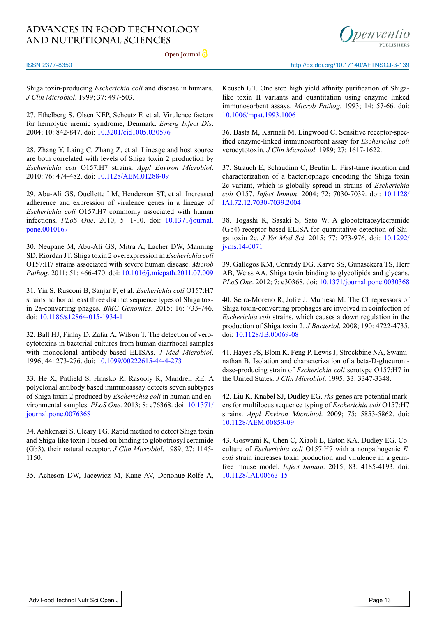**Open Journal**

![](_page_7_Picture_2.jpeg)

http://dx.doi.org/10.17140/AFTNSOJ-3-139

ISSN 2377-8350

Shiga toxin-producing *Escherichia coli* and disease in humans. *J Clin Microbiol*. 1999; 37: 497-503.

27. Ethelberg S, Olsen KEP, Scheutz F, et al. Virulence factors for hemolytic uremic syndrome, Denmark. *Emerg Infect Dis*. 2004; 10: 842-847. doi: [10.3201/eid1005.030576](https://www.ncbi.nlm.nih.gov/pmc/articles/PMC3323205/)

<span id="page-7-0"></span>28. Zhang Y, Laing C, Zhang Z, et al. Lineage and host source are both correlated with levels of Shiga toxin 2 production by *Escherichia coli* O157:H7 strains. *Appl Environ Microbiol*. 2010: 76: 474-482. doi: [10.1128/AEM.01288-09](http://aem.asm.org/content/76/2/474.short)

<span id="page-7-1"></span>29. Abu-Ali GS, Ouellette LM, Henderson ST, et al. Increased adherence and expression of virulence genes in a lineage of *Escherichia coli* O157:H7 commonly associated with human infections. *PLoS One*. 2010; 5: 1-10. doi: [10.1371/journal.](https://doi.org/10.1371/journal.pone.0010167) [pone.0010167](https://doi.org/10.1371/journal.pone.0010167)

<span id="page-7-2"></span>30. Neupane M, Abu-Ali GS, Mitra A, Lacher DW, Manning SD, Riordan JT. Shiga toxin 2 overexpression in *Escherichia coli*  O157:H7 strains associated with severe human disease. *Microb Pathog*. 2011; 51: 466-470. doi: [10.1016/j.micpath.2011.07.009](https://doi.org/10.1016/j.micpath.2011.07.009)

31. Yin S, Rusconi B, Sanjar F, et al. *Escherichia coli* O157:H7 strains harbor at least three distinct sequence types of Shiga toxin 2a-converting phages. *BMC Genomics*. 2015; 16: 733-746. doi: [10.1186/s12864-015-1934-1](https://bmcgenomics.biomedcentral.com/articles/10.1186/s12864-015-1934-1)

<span id="page-7-3"></span>32. Ball HJ, Finlay D, Zafar A, Wilson T. The detection of verocytotoxins in bacterial cultures from human diarrhoeal samples with monoclonal antibody-based ELISAs. *J Med Microbiol*. 1996; 44: 273-276. doi: [10.1099/00222615-44-4-273](http://jmm.microbiologyresearch.org/content/journal/jmm/10.1099/00222615-44-4-273)

33. He X, Patfield S, Hnasko R, Rasooly R, Mandrell RE. A polyclonal antibody based immunoassay detects seven subtypes of Shiga toxin 2 produced by *Escherichia coli* in human and environmental samples. *PLoS One*. 2013; 8: e76368. doi: [10.1371/](https://doi.org/10.1371/journal.pone.0076368) [journal.pone.0076368](https://doi.org/10.1371/journal.pone.0076368)

<span id="page-7-4"></span>34. Ashkenazi S, Cleary TG. Rapid method to detect Shiga toxin and Shiga-like toxin I based on binding to globotriosyl ceramide (Gb3), their natural receptor. *J Clin Microbiol*. 1989; 27: 1145- 1150.

<span id="page-7-7"></span>35. Acheson DW, Jacewicz M, Kane AV, Donohue-Rolfe A,

Keusch GT. One step high yield affinity purification of Shigalike toxin II variants and quantitation using enzyme linked immunosorbent assays. *Microb Pathog*. 1993; 14: 57-66. doi: [10.1006/mpat.1993.1006](http://www.sciencedirect.com/science/article/pii/S0882401083710065)

<span id="page-7-5"></span>36. Basta M, Karmali M, Lingwood C. Sensitive receptor-specified enzyme-linked immunosorbent assay for *Escherichia coli*  verocytotoxin. *J Clin Microbiol*. 1989; 27: 1617-1622.

37. Strauch E, Schaudinn C, Beutin L. First-time isolation and characterization of a bacteriophage encoding the Shiga toxin 2c variant, which is globally spread in strains of *Escherichia coli* O157. *Infect Immun*. 2004; 72: 7030-7039. doi: [10.1128/](http://iai.asm.org/content/72/12/7030.short) [IAI.72.12.7030-7039.2004](http://iai.asm.org/content/72/12/7030.short)

<span id="page-7-6"></span>38. Togashi K, Sasaki S, Sato W. A globotetraosylceramide (Gb4) receptor-based ELISA for quantitative detection of Shiga toxin 2e. *J Vet Med Sci*. 2015; 77: 973-976. doi[: 10.1292/](http://doi.org/10.1292/jvms.14-0071%0D) [jvms.14-0071](http://doi.org/10.1292/jvms.14-0071%0D)

<span id="page-7-8"></span>39. Gallegos KM, Conrady DG, Karve SS, Gunasekera TS, Herr AB, Weiss AA. Shiga toxin binding to glycolipids and glycans. *PLoS One*. 2012; 7: e30368. doi: [10.1371/journal.pone.0030368](https://doi.org/10.1371/journal.pone.0030368)

<span id="page-7-9"></span>40. Serra-Moreno R, Jofre J, Muniesa M. The CI repressors of Shiga toxin-converting prophages are involved in coinfection of *Escherichia coli* strains, which causes a down regulation in the production of Shiga toxin 2. *J Bacteriol*. 2008; 190: 4722-4735. doi: [10.1128/JB.00069-08](http://jb.asm.org/content/190/13/4722.short)

<span id="page-7-10"></span>41. Hayes PS, Blom K, Feng P, Lewis J, Strockbine NA, Swaminathan B. Isolation and characterization of a beta-D-glucuronidase-producing strain of *Escherichia coli* serotype O157:H7 in the United States. *J Clin Microbiol*. 1995; 33: 3347-3348.

<span id="page-7-11"></span>42. Liu K, Knabel SJ, Dudley EG. *rhs* genes are potential markers for multilocus sequence typing of *Escherichia coli* O157:H7 strains. *Appl Environ Microbiol*. 2009; 75: 5853-5862. doi: [10.1128/AEM.00859-09](http://aem.asm.org/content/75/18/5853.short)

<span id="page-7-12"></span>43. Goswami K, Chen C, Xiaoli L, Eaton KA, Dudley EG. Coculture of *Escherichia coli* O157:H7 with a nonpathogenic *E. coli* strain increases toxin production and virulence in a germfree mouse model. *Infect Immun*. 2015; 83: 4185-4193. doi: [10.1128/IAI.00663-15](http://iai.asm.org/content/83/11/4185.short)